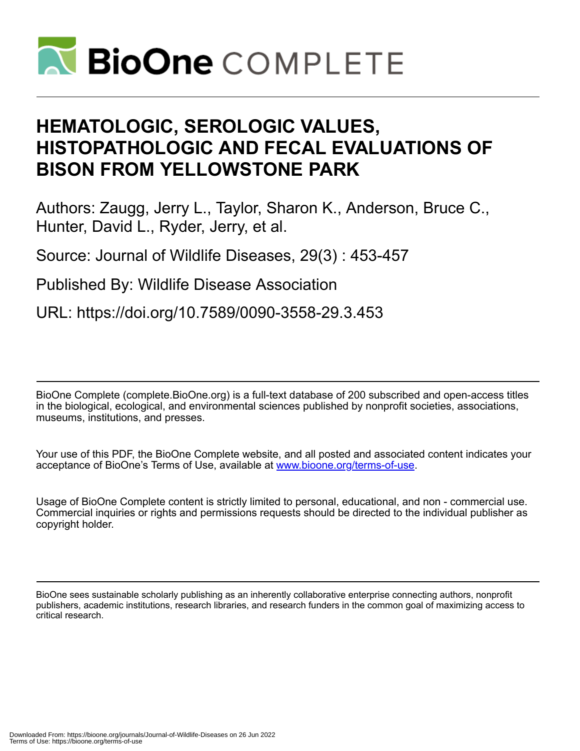

# **HEMATOLOGIC, SEROLOGIC VALUES, HISTOPATHOLOGIC AND FECAL EVALUATIONS OF BISON FROM YELLOWSTONE PARK**

Authors: Zaugg, Jerry L., Taylor, Sharon K., Anderson, Bruce C., Hunter, David L., Ryder, Jerry, et al.

Source: Journal of Wildlife Diseases, 29(3) : 453-457

Published By: Wildlife Disease Association

URL: https://doi.org/10.7589/0090-3558-29.3.453

BioOne Complete (complete.BioOne.org) is a full-text database of 200 subscribed and open-access titles in the biological, ecological, and environmental sciences published by nonprofit societies, associations, museums, institutions, and presses.

Your use of this PDF, the BioOne Complete website, and all posted and associated content indicates your acceptance of BioOne's Terms of Use, available at www.bioone.org/terms-of-use.

Usage of BioOne Complete content is strictly limited to personal, educational, and non - commercial use. Commercial inquiries or rights and permissions requests should be directed to the individual publisher as copyright holder.

BioOne sees sustainable scholarly publishing as an inherently collaborative enterprise connecting authors, nonprofit publishers, academic institutions, research libraries, and research funders in the common goal of maximizing access to critical research.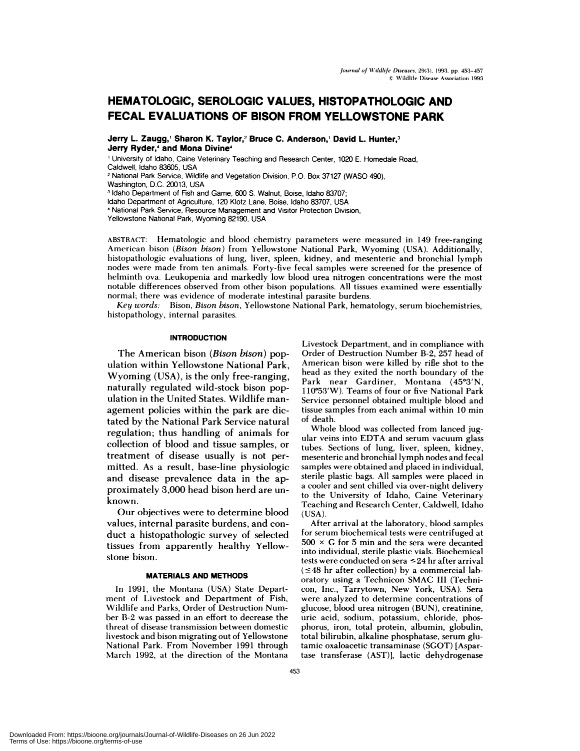# **HEMATOLOGIC, SEROLOGIC VALUES, HISTOPATHOLOGIC AND FECAL EVALUATIONS OF BISON FROM YELLOWSTONE PARK**

Jerry L. **Zaugg,1 Sharon K. Taylor,2 Bruce C. Anderson,1 David L. Hunter,3 Jerry Ryder,4 and Mona Divine4**

**<sup>1</sup>** University of Idaho, Caine Veterinary Teaching and Research Center, 1020 E. Homedale Road, CaIdwell, Idaho 83605, USA

**<sup>2</sup>** National Park Service, Wildlife and Vegetation Division, P.O. Box 37127 (WASO 490),

Washington, D.C. 20013, USA

<sup>3</sup> Idaho Department of Fish and Game, 600 S. Walnut, Boise, Idaho 83707;

Idaho Department of Agriculture, 120 Klotz Lane, Boise, Idaho 83707, USA

National Park Service, Resource Management and Visitor Protection Division,

Yellowstone National Park, Wyoming 82190, USA

ABSTRACT: Hematologic and blood chemistry parameters were measured in 149 free-ranging American bison *(Bison bison)* **from** Yellowstone National Park, **Wyoming** (USA). Additionally, histopathologic evaluations of lung, liver, spleen, kidney, and mesenteric and bronchial lymph nodes were made from ten animals. Forty-five fecal samples were screened for the presence of helminth ova. Leukopenia and markedly low blood urea nitrogen concentrations were the most notable differences observed from other bison populations. All tissues examined were essentially normal; there was evidence of moderate intestinal parasite burdens.

*Key words:* Bison, *Bison bison,* Yellowstone National Park, hematology, serum biochemistries, histopathology, internal parasites.

#### **INTRODUCTION**

The American bison *(Bison bison)* population within Yellowstone National Park, Wyoming (USA), is the only free-ranging, naturally regulated wild-stock bison population in the United States. Wildlife man agement policies within the park are dictated by the National Park Service natural regulation; thus handling of animals for collection of blood and tissue samples, or treatment of disease usually is not permitted. As a result, base-line physiologic and disease prevalence data in the approximately 3,000 head bison herd are un known.

Our objectives were to determine blood values, internal parasite burdens, and con duct a histopathologic survey of selected tissues from apparently healthy Yellowstone bison.

#### **MATERIALS AND METHODS**

In 1991, the **Montana** (USA) State Depart **ment of Livestock** and Department of Fish, Wildlife and Parks, Order of Destruction Number B-2 was passed in an effort to decrease the threat of disease transmission between domestic livestock and bison migrating out of Yellowstone National Park. From November 1991 through March 1992, at the direction of the Montana Livestock Department, and in compliance with Order of Destruction Number B-2, 257 head of American bison were killed by rifle shot to the head as they exited the north boundary of the Park near Gardiner, Montana (45°3'N, 110°53'W). Teams of four or five National Park Service personnel obtained multiple blood and tissue samples from each animal within 10 min of death.

Whole blood was collected from lanced jugular veins into EDTA and serum vacuum glass tubes. Sections of lung, liver, spleen, kidney, mesenteric and bronchial lymph nodes and fecal samples were obtained and placed in individual, sterile plastic bags. All **samples were** placed in a cooler and sent chilled via over-night delivery to the University of Idaho, Caine Veterinary Teaching and Research Center, Caldwell, Idaho (USA).

After arrival at the laboratory, blood samples for serum biochemical tests were centrifuged at  $500 \times G$  for 5 min and the sera were decanted **into** individual, **sterile plastic vials.** Biochemical tests were conducted on sera  $\leq$ 24 hr after arrival  $(1)$  = 48 hr after collection) by a commercial laboratory using a Technicon SMAC III (Techni con, Inc., Tarrytown, New York, USA). Sera were analyzed to determine concentrations of **glucose,** blood urea nitrogen (BUN), creatinine, **uric** acid, sodium, potassium, chloride, phosphorus, iron, total protein, albumin, globulin, total bilirubin, alkaline phosphatase, serum glutamic oxaloacetic transaminase (SGOT) [Aspartase transferase (AST)], lactic dehydrogenase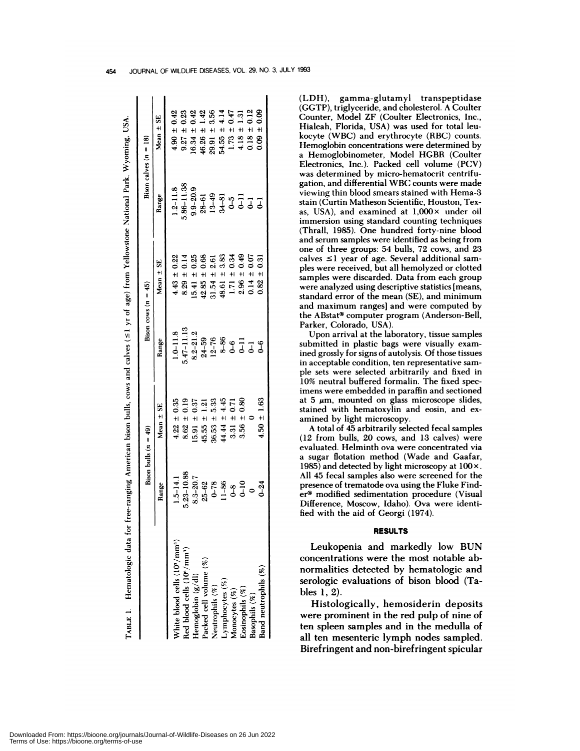|                                                       |                                                      | Bison bulls $(n = 49)$ |                | Bison cows $(n = 45)$ |                             | Bison calves $(n = 18)$ |
|-------------------------------------------------------|------------------------------------------------------|------------------------|----------------|-----------------------|-----------------------------|-------------------------|
|                                                       | Range                                                | Mean ± SE              | Range          | Mean ± SE             | Range                       | Mean ± SE               |
| White blood cells (10 <sup>9</sup> /mm <sup>3</sup> ) | $1.5 - 14.1$                                         | $4.22 \pm 0.35$        | $1.0 - 11.8$   | $4.43 \pm 0.22$       | $1.2 - 11.8$                | $4.90 \pm 0.42$         |
| Red blood cells (10°/mm <sup>3</sup> )                | $5.23 - 10.88$                                       | $8.62 \pm 0.19$        | $5.47 - 11.13$ | $8.29 \pm 0.14$       | 5.86-11.38                  | $9.27 \pm 0.23$         |
|                                                       | 8.3-20.7                                             | $15.91 \pm 0.37$       | $8.2 - 21.2$   | 0.25<br>$15.41 \pm$   | $9.9 - 20.9$                | $6.34 \pm 0.42$         |
| Hemoglobin $(g/dl)$<br>Packed cell volume $(\%)$      |                                                      | 1.21<br>$45.55 \pm$    | $24 - 59$      | $42.85 \pm 0.68$      | $28 - 61$                   | $46.26 \pm 1.42$        |
| Neutrophils (%)                                       |                                                      | $36.53 \pm 5.33$       | $12 - 76$      | $31.54 \pm 2.61$      | $13-49$<br>$34-81$<br>$0-5$ | $29.91 \pm 3.56$        |
| Lymphocytes (%)                                       |                                                      | $44.44 \pm 4.45$       | $8 - 86$       | $48.61 \pm 3.83$      |                             | $54.55 \pm 4.14$        |
| Monocytes (%)                                         | $25-62$<br>$0-78$<br>$-1-86$<br>$-1-0$<br>$0$<br>$0$ | $3.31 \pm 0.71$        | $0 - 5$        | $1.71 \pm 0.34$       |                             | $1.73 \pm 0.47$         |
| Eosinophils (%)                                       |                                                      | $3.56 \pm 0.80$        |                | $2.96 \pm 0.49$       | $\overline{a}$              | $4.18 \pm 1.31$         |
| Basophils (%)                                         |                                                      |                        | $\overline{J}$ | $0.14 \pm 0.07$       | $\vec{J}$                   | $0.18 \pm 0.12$         |
| Band neutrophils (%)                                  | $0 - 24$                                             | $4.50 \pm 1.63$        | ھے             | $0.82 \pm 0.31$       | 5                           | $0.09 \pm 0.09$         |

þ ÷ (LDH), gamma-glutamyl transpeptidase (GGTP), triglyceride, and cholesterol. A Coulter Counter, Model ZF (Coulter Electronics, Inc., Hialeah, Florida, USA) was used for total leukocyte (WBC) and erythrocyte (RBC) counts. Hemoglobin concentrations were determined by a Hemoglobinometer, Model HGBR (Coulter Electronics, Inc.). Packed cell volume (PCV) was determined by micro-hematocrit centrifugation, and differential WBC counts were made viewing thin blood smears stained with Hema-3 stain (Curtin Matheson Scientific, Houston, Texas, USA), and examined at  $1,000 \times$  under oil immersion using standard counting techniques (Thrall, 1985). One hundred forty-nine blood and serum samples were identified as being from one of three groups: 54 bulls, 72 cows, and 23 calves  $\leq$ 1 year of age. Several additional samples were received, but all hemolyzed or clotted samples were discarded. Data from each group were analyzed using descriptive statistics [means, standard error of the mean (SE), and minimum and maximum ranges] and were computed by the ABstat<sup>®</sup> computer program (Anderson-Bell, Parker, Colorado, USA).

Upon arrival at the laboratory, tissue samples submitted in plastic bags were visually examined grossly for signs of autolysis. Of those tissues in acceptable condition, ten representative sam ple sets were selected arbitrarily and fixed in 10% neutral buffered formalin. The fixed specimens were embedded in paraffin and sectioned at 5  $\mu$ m, mounted on glass microscope slides, stained with hematoxylin and eosin, and examined by light microscopy.

A total of 45 arbitrarily selected fecal samples (12 from bulls, 20 cows, and 13 calves) were evaluated. Helminth ova were concentrated via a sugar flotation method (Wade and Gaafar, 1985) and detected by light microscopy at  $100 \times$ . All 45 fecal samples also were screened for the presence of trematode ova using the Fluke Finder<sup>®</sup> modified sedimentation procedure (Visual Difference, Moscow, Idaho). Ova were identified with the aid of Georgi (1974).

## **RESULTS**

Leukopenia and markedly low BUN concentrations were the most notable abnormalities detected by hematologic and serologic evaluations of bison blood (Tables 1, 2).

Histologically, hemosiderin deposits were prominent in the red pulp of nine of ten spleen samples and in the medulla of all ten mesenteric lymph nodes sampled. Birefringent and non-birefringent spicular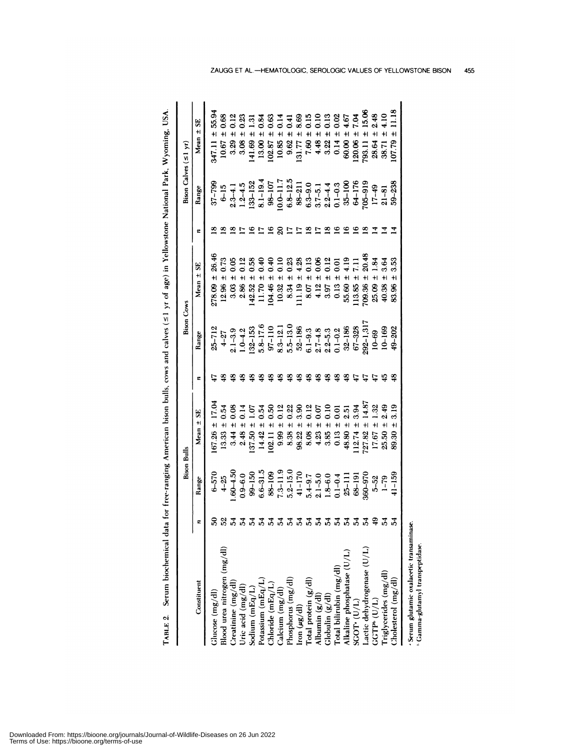| $\frac{1}{2}$           |
|-------------------------|
| i                       |
| ļ                       |
|                         |
| ţ                       |
|                         |
|                         |
|                         |
| I                       |
|                         |
|                         |
| $\frac{1}{2}$<br>י<br>י |
|                         |
|                         |
|                         |
|                         |
|                         |
| ١<br>l                  |
| ֠<br>ì<br>;<br>ā        |
| ļ                       |
| ĺ<br>ı                  |
|                         |
| I                       |
| I<br>i<br>j<br>ļ        |

Downloaded From: https://bioone.org/journals/Journal-of-Wildlife-Diseases on 26 Jun 2022<br>Terms of Use: https://bioone.org/terms-of-use

|                                                                                                                  |   | <b>Bison Bulls</b>     |                                      |                | Bison Cows            |                                        |   | Bison Calves $(51 \text{ yr})$            |                                       |
|------------------------------------------------------------------------------------------------------------------|---|------------------------|--------------------------------------|----------------|-----------------------|----------------------------------------|---|-------------------------------------------|---------------------------------------|
| Constituent                                                                                                      |   | Range                  | $±$ SE<br><b>Mean</b>                | ε              | Range                 | 5<br>$+1$<br>Mean                      | ε | Range                                     | 55<br>$+1$<br>Mean                    |
| $Glucose$ (mg/dl)                                                                                                | ຂ | $6 - 570$              | 17.04<br>$\ddot{}$<br>67.26          |                | $25 - 712$            | 26.46<br>278.09                        |   | $37 - 799$                                | 55.94<br>$+1$<br>347.11               |
| Blood urea nitrogen (mg/dl)                                                                                      | 었 | $4 - 25$               | 0.54<br>$+1$<br>13.33                | ఇ              |                       | $+1$<br>12.96                          | ∞ | $6 - 15$                                  | 0.68<br>$+1$<br>10.67                 |
|                                                                                                                  |   | $.60 - 4.50$           | 0.08<br>$+1$<br>3.44                 | $\ddot{3}$     | $4 - 27$<br>2.1 - 3.9 | 0.05<br>$+1$<br>3.03                   | ≌ | $2.3 - 4.1$                               | $\ddot{}$<br>3.29                     |
| $\begin{array}{l} \text{Creating } (\text{mg}/\text{dl}) \\ \text{Uric acid } (\text{mg}/\text{dl}) \end{array}$ |   | $0.9 - 6.0$            | $\frac{1}{2}$<br>$+1$<br>2.48        | 2              | $1.0 - 4.2$           | 0.12<br>$+1$<br>286                    |   | $1.2 - 4.5$                               | $^{23}$<br>$\pm$<br>3.08              |
| Sodium (mEq/L)                                                                                                   |   | $99 - 150$             | 1.07<br>$+1$<br>37.50                | ≌              | $32 - 153$            | 0.58<br>$+1$<br>42.52                  | ≌ | $-33 - 152$                               | $\frac{31}{2}$<br>$+1$<br>41.69       |
|                                                                                                                  |   | $6.6 - 31.5$           | 0.54<br>$+1$<br>14.42                | $\frac{8}{3}$  | $5.8 - 17.6$          | $\frac{6}{3}$<br>$+1$<br>11.70         |   | $8.1 - 19.4$                              | 0.84<br>$\ddot{}$<br>13.00            |
| Potassium (mEq/L)<br>Chloride (mEq/L)<br>Calcium (mg/dl)<br>Phosphorus (mg/dl)                                   |   | 88-109                 | <u>ទី</u><br>$\ddot{}$<br>102.11     | \$             | $97 - 110$            | 0.40<br>$+1$<br>04.46                  | ≌ | $98 - 107$                                | $\frac{63}{2}$<br>$\ddot{}$<br>102.87 |
|                                                                                                                  |   | $7.3 - 11.9$           | $\frac{2}{12}$<br>$\ddot{+}$<br>9.99 | $\frac{3}{2}$  | $8.3 - 12.$           | $\frac{10}{10}$<br>$\ddot{+}$<br>10.32 |   | $0.0 - 11.7$                              | 0.14<br>$+1$<br>10.85                 |
|                                                                                                                  |   | $5.2 - 15.0$           | 0.22<br>$\ddot{+}$<br>8.38           | $\frac{48}{5}$ | $5.5 - 13.0$          | 0.23<br>$+1$<br>8.34                   |   | $6.8 - 12.5$                              | $\mathbf{1}$<br>$+1$<br>9.62          |
| Iron $(\mu g/dl)$                                                                                                |   | $41 - 170$             | 3.90<br>$\pm$<br>98.22               | 48             | $52 - 186$            | 4.28<br>$\ddot{}$<br>11.19             |   | $88 - 211$                                | 8.69<br>$\ddot{}$<br>131.77           |
| Total protein (g/dl)                                                                                             |   |                        | 0.12<br>$\pm$<br>8.08                | $\frac{3}{2}$  | $6.1 - 9.3$           | 0.13<br>$\pm$<br>8.07                  | ≌ |                                           | 0.15<br>$+1$<br>7.60                  |
|                                                                                                                  |   | $5.4 - 9.7$<br>2.1-5.0 | 0.07<br>$\ddot{}$<br>4.23            | 28             | $2.7 - 4.8$           | $\frac{8}{2}$<br>$\pm$<br>4.12         |   | $6.3 - 9.0$<br>$3.7 - 5.1$<br>$2.2 - 4.4$ | $+1$<br>4.48                          |
| Albumin $(g/d)$<br>Globulin $(g/d)$<br>Total bilirubin (mg/dl)                                                   |   | $1.8 - 6.0$            | 0.10<br>$\ddot{}$<br>3.85            | 9              | $2.2 - 5.3$           | 0.12<br>$\ddot{}$<br>3.97              |   |                                           | 0.13<br>0.13<br>0.02<br>$+1$<br>3.22  |
|                                                                                                                  |   | $0.1 - 0.4$            | $\overline{0}$<br>$\ddot{}$<br>0.13  | $\frac{9}{2}$  | $0.1 - 0.2$           | $\overline{0}$<br>$\pm$<br>0.13        |   | $0.1 - 0.3$                               | $\ddot{}$<br>0.14                     |
|                                                                                                                  |   | $25 - 111$             | 2.51<br>$+1$<br>48.80                | 48             | $32 - 186$            | $\frac{1}{2}$<br>$\ddagger$<br>55.60   | ് | $35 - 100$                                | 4.67<br>$+1$<br>60.00                 |
| Alkaline phosphatase $(U/L)$<br>SGOT <sup>+</sup> $(U/L)$                                                        |   | $68 - 191$             | 3.94<br>$+$<br>112.74                | $\overline{4}$ | $67 - 328$            | H<br>113.85                            |   | $64 - 176$                                | <b>рот</b><br>$\pm$<br>120.06         |
| Lactic dehydrogenase $(\rm U/L)$ GGTP <sup>6</sup> (U/L)                                                         |   | 360-970                | 14.87<br>$\ddot{+}$<br>72782         |                | $292 - 1,317$         | 20.48<br>$+1$<br>709.36                |   | $705 - 919$                               | 15.06<br>$+1$<br>793.11               |
|                                                                                                                  |   | $5 - 52$               | 1.32<br>$+1$<br>17.67                | t,             | $10 - 69$             | $\frac{3}{2}$<br>$+1$<br>25.09         |   | $17 - 49$                                 | 2.48<br>$+1$<br>28.64                 |
| riglycerides (mg/dl)                                                                                             |   | $1 - 79$               | 2.49<br>$+1$<br>25.50                | ್ಲೆ            | $10 - 169$            | 3.64<br>40.38                          |   | $21 - 81$                                 | H<br>38.71                            |
| holesterol (mg/dl)                                                                                               |   | $41 - 159$             | 3.19<br>89.30                        | ≌              | $49 - 202$            | 3.53<br>ł١<br>83.96                    |   | 59-238                                    | $\pm$<br>107.79                       |
| Serum glutamic oxalacetic transaminase<br>Gamma-glutamyl transpeptidase.                                         |   |                        |                                      |                |                       |                                        |   |                                           |                                       |

ZAUGG ET AL.-HEMATOLOGIC, SEROLOGIC VALUES OF YELLOWSTONE BISON 455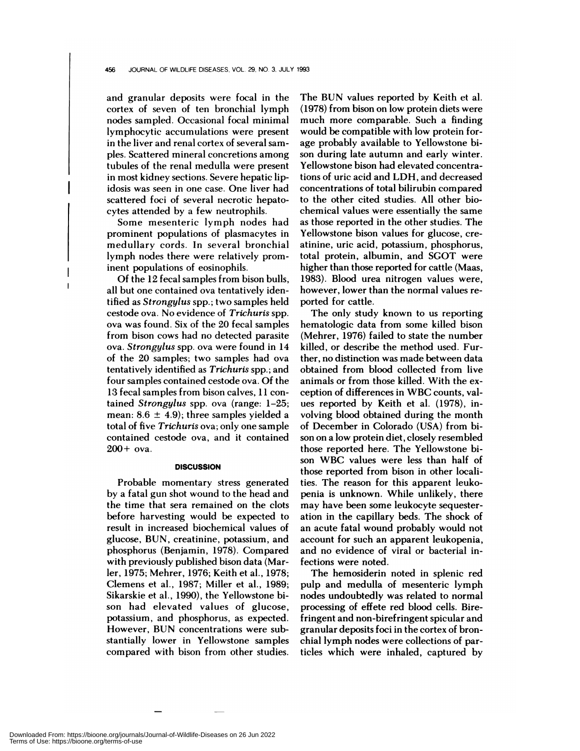and granular deposits were focal in the cortex of seven of ten bronchial lymph nodes sampled. Occasional focal minimal lymphocytic accumulations were present in the liver and renal cortex of several sam ples. Scattered mineral concretions among tubules of the renal medulla were present in most kidney sections. Severe hepatic lipidosis was seen in one case. One liver had scattered foci of several necrotic hepatocytes attended by a few neutrophils.

Some mesenteric lymph nodes had prominent populations of plasmacytes in medullary cords. In several bronchial lymph nodes there were relatively prominent populations of eosinophils.

Of the 12 fecal samples from bison bulls, all but one contained ova tentatively identified as *Strongylus* spp.; two samples held cestode ova. No evidence of *Trichuris* spp. ova was found. Six of the 20 fecal samples from bison cows had no detected parasite ova. *Strongylus* spp. ova were found in 14 of the 20 samples; two samples had ova tentatively identified as *Trichuris* spp.; and four samples contained cestode ova. Of the 13 fecal samples from bison calves, 11 contained *Strongylus* spp. ova (range: 1-25; mean:  $8.6 \pm 4.9$ ; three samples yielded a total of five *Trichuris* ova; only one sample contained cestode ova, and it contained  $200+$  ova.

#### **DISCUSSION**

Probable momentary stress generated by a fatal gun shot wound to the head and the time that sera remained on the clots before harvesting would be expected to result in increased biochemical values of glucose, BUN, creatinine, potassium, and phosphorus (Benjamin, 1978). Compared with previously published bison data (Marler, 1975; Mehrer, 1976; Keith et al., 1978; Clemens et al., 1987; Miller et al., 1989; Sikarskie et al., 1990), the Yellowstone bison had elevated values of glucose, potassium, and phosphorus, as expected. However, BUN concentrations were substantially lower in Yellowstone samples compared with bison from other studies.

The BUN values reported by Keith et al. (1978) from bison on low protein diets were much more comparable. Such a finding would be compatible with low protein forage probably available to Yellowstone bi son during late autumn and early winter. Yellowstone bison had elevated concentrations of uric acid and LDH, and decreased concentrations of total bilirubin compared to the other cited studies. All other biochemical values were essentially the same as those reported in the other studies. The Yellowstone bison values for glucose, creatinine, uric acid, potassium, phosphorus, total protein, albumin, and SGOT were higher than those reported for cattle (Maas, 1983). Blood urea nitrogen values were, however, lower than the normal values reported for cattle.

The only study known to us reporting hematologic data from some killed bison (Mehrer, 1976) failed to state the number killed, or describe the method used. Further, no distinction was made between data obtained from blood collected from live animals or from those killed. With the exception of differences in WBC counts, val ues reported by Keith et al. (1978), involving blood obtained during the month of December in Colorado (USA) from bison on a low protein diet, closely resembled those reported here. The Yellowstone bi son WBC values were less than half of those reported from bison in other localities. The reason for this apparent leukopenia is unknown. While unlikely, there may have been some leukocyte sequesteration in the capillary beds. The shock of an acute fatal wound probably would not account for such an apparent leukopenia, and no evidence of viral or bacterial infections were noted.

The hemosiderin noted in splenic red pulp and medulla of mesenteric lymph nodes undoubtedly was related to normal processing of effete red blood cells. Birefringent and non-birefringent spicular and granular deposits foci in the cortex of bronchial lymph nodes were collections of particles which were inhaled, captured by